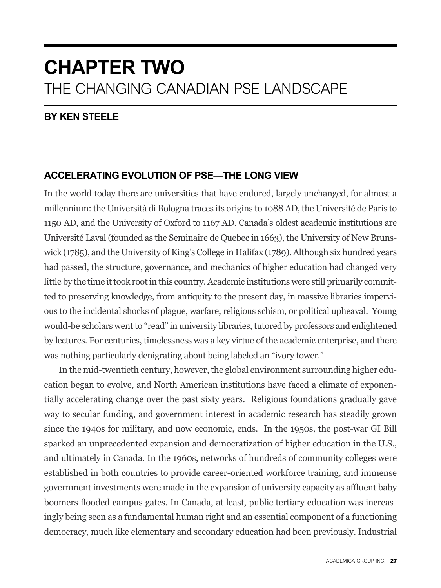# *CHAPTER TWO THE CHANGING CANADIAN PSE LANDSCAPE*

# *By Ken Steele*

# *ACCELERATING EVOLUTION OF PSE—THE LONG VIEW*

In the world today there are universities that have endured, largely unchanged, for almost a millennium: the Università di Bologna traces its origins to 1088 AD, the Université de Paris to 1150 AD, and the University of Oxford to 1167 AD. Canada's oldest academic institutions are Université Laval (founded as the Seminaire de Quebec in 1663), the University of New Brunswick (1785), and the University of King's College in Halifax (1789). Although six hundred years had passed, the structure, governance, and mechanics of higher education had changed very little by the time it took root in this country. Academic institutions were still primarily committed to preserving knowledge, from antiquity to the present day, in massive libraries impervious to the incidental shocks of plague, warfare, religious schism, or political upheaval. Young would-be scholars went to "read" in university libraries, tutored by professors and enlightened by lectures. For centuries, timelessness was a key virtue of the academic enterprise, and there was nothing particularly denigrating about being labeled an "ivory tower."

In the mid-twentieth century, however, the global environment surrounding higher education began to evolve, and North American institutions have faced a climate of exponentially accelerating change over the past sixty years. Religious foundations gradually gave way to secular funding, and government interest in academic research has steadily grown since the 1940s for military, and now economic, ends. In the 1950s, the post-war GI Bill sparked an unprecedented expansion and democratization of higher education in the U.S., and ultimately in Canada. In the 1960s, networks of hundreds of community colleges were established in both countries to provide career-oriented workforce training, and immense government investments were made in the expansion of university capacity as affluent baby boomers flooded campus gates. In Canada, at least, public tertiary education was increasingly being seen as a fundamental human right and an essential component of a functioning democracy, much like elementary and secondary education had been previously. Industrial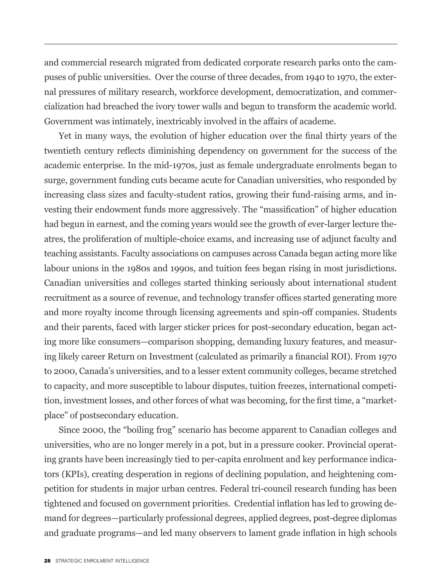and commercial research migrated from dedicated corporate research parks onto the campuses of public universities. Over the course of three decades, from 1940 to 1970, the external pressures of military research, workforce development, democratization, and commercialization had breached the ivory tower walls and begun to transform the academic world. Government was intimately, inextricably involved in the affairs of academe.

Yet in many ways, the evolution of higher education over the final thirty years of the twentieth century reflects diminishing dependency on government for the success of the academic enterprise. In the mid-1970s, just as female undergraduate enrolments began to surge, government funding cuts became acute for Canadian universities, who responded by increasing class sizes and faculty-student ratios, growing their fund-raising arms, and investing their endowment funds more aggressively. The "massification" of higher education had begun in earnest, and the coming years would see the growth of ever-larger lecture theatres, the proliferation of multiple-choice exams, and increasing use of adjunct faculty and teaching assistants. Faculty associations on campuses across Canada began acting more like labour unions in the 1980s and 1990s, and tuition fees began rising in most jurisdictions. Canadian universities and colleges started thinking seriously about international student recruitment as a source of revenue, and technology transfer offices started generating more and more royalty income through licensing agreements and spin-off companies. Students and their parents, faced with larger sticker prices for post-secondary education, began acting more like consumers—comparison shopping, demanding luxury features, and measuring likely career Return on Investment (calculated as primarily a financial ROI). From 1970 to 2000, Canada's universities, and to a lesser extent community colleges, became stretched to capacity, and more susceptible to labour disputes, tuition freezes, international competition, investment losses, and other forces of what was becoming, for the first time, a "marketplace" of postsecondary education.

Since 2000, the "boiling frog" scenario has become apparent to Canadian colleges and universities, who are no longer merely in a pot, but in a pressure cooker. Provincial operating grants have been increasingly tied to per-capita enrolment and key performance indicators (KPIs), creating desperation in regions of declining population, and heightening competition for students in major urban centres. Federal tri-council research funding has been tightened and focused on government priorities. Credential inflation has led to growing demand for degrees—particularly professional degrees, applied degrees, post-degree diplomas and graduate programs—and led many observers to lament grade inflation in high schools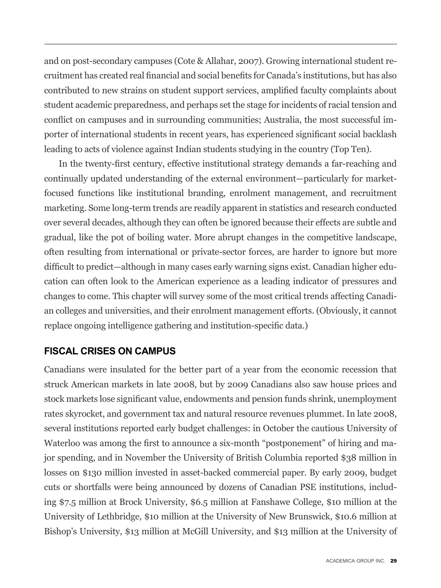and on post-secondary campuses (Cote & Allahar, 2007). Growing international student recruitment has created real financial and social benefits for Canada's institutions, but has also contributed to new strains on student support services, amplified faculty complaints about student academic preparedness, and perhaps set the stage for incidents of racial tension and conflict on campuses and in surrounding communities; Australia, the most successful importer of international students in recent years, has experienced significant social backlash leading to acts of violence against Indian students studying in the country (Top Ten).

In the twenty-first century, effective institutional strategy demands a far-reaching and continually updated understanding of the external environment—particularly for marketfocused functions like institutional branding, enrolment management, and recruitment marketing. Some long-term trends are readily apparent in statistics and research conducted over several decades, although they can often be ignored because their effects are subtle and gradual, like the pot of boiling water. More abrupt changes in the competitive landscape, often resulting from international or private-sector forces, are harder to ignore but more difficult to predict—although in many cases early warning signs exist. Canadian higher education can often look to the American experience as a leading indicator of pressures and changes to come. This chapter will survey some of the most critical trends affecting Canadian colleges and universities, and their enrolment management efforts. (Obviously, it cannot replace ongoing intelligence gathering and institution-specific data.)

## *FISCAL CRISES ON CAMPUS*

Canadians were insulated for the better part of a year from the economic recession that struck American markets in late 2008, but by 2009 Canadians also saw house prices and stock markets lose significant value, endowments and pension funds shrink, unemployment rates skyrocket, and government tax and natural resource revenues plummet. In late 2008, several institutions reported early budget challenges: in October the cautious University of Waterloo was among the first to announce a six-month "postponement" of hiring and major spending, and in November the University of British Columbia reported \$38 million in losses on \$130 million invested in asset-backed commercial paper. By early 2009, budget cuts or shortfalls were being announced by dozens of Canadian PSE institutions, including \$7.5 million at Brock University, \$6.5 million at Fanshawe College, \$10 million at the University of Lethbridge, \$10 million at the University of New Brunswick, \$10.6 million at Bishop's University, \$13 million at McGill University, and \$13 million at the University of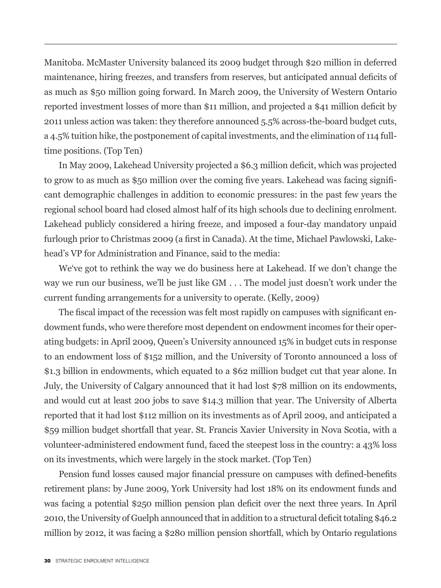Manitoba. McMaster University balanced its 2009 budget through \$20 million in deferred maintenance, hiring freezes, and transfers from reserves, but anticipated annual deficits of as much as \$50 million going forward. In March 2009, the University of Western Ontario reported investment losses of more than \$11 million, and projected a \$41 million deficit by 2011 unless action was taken: they therefore announced 5.5% across-the-board budget cuts, a 4.5% tuition hike, the postponement of capital investments, and the elimination of 114 fulltime positions. (Top Ten)

In May 2009, Lakehead University projected a \$6.3 million deficit, which was projected to grow to as much as \$50 million over the coming five years. Lakehead was facing significant demographic challenges in addition to economic pressures: in the past few years the regional school board had closed almost half of its high schools due to declining enrolment. Lakehead publicly considered a hiring freeze, and imposed a four-day mandatory unpaid furlough prior to Christmas 2009 (a first in Canada). At the time, Michael Pawlowski, Lakehead's VP for Administration and Finance, said to the media:

We've got to rethink the way we do business here at Lakehead. If we don't change the way we run our business, we'll be just like GM . . . The model just doesn't work under the current funding arrangements for a university to operate. (Kelly, 2009)

The fiscal impact of the recession was felt most rapidly on campuses with significant endowment funds, who were therefore most dependent on endowment incomes for their operating budgets: in April 2009, Queen's University announced 15% in budget cuts in response to an endowment loss of \$152 million, and the University of Toronto announced a loss of \$1.3 billion in endowments, which equated to a \$62 million budget cut that year alone. In July, the University of Calgary announced that it had lost \$78 million on its endowments, and would cut at least 200 jobs to save \$14.3 million that year. The University of Alberta reported that it had lost \$112 million on its investments as of April 2009, and anticipated a \$59 million budget shortfall that year. St. Francis Xavier University in Nova Scotia, with a volunteer-administered endowment fund, faced the steepest loss in the country: a 43% loss on its investments, which were largely in the stock market. (Top Ten)

Pension fund losses caused major financial pressure on campuses with defined-benefits retirement plans: by June 2009, York University had lost 18% on its endowment funds and was facing a potential \$250 million pension plan deficit over the next three years. In April 2010, the University of Guelph announced that in addition to a structural deficit totaling \$46.2 million by 2012, it was facing a \$280 million pension shortfall, which by Ontario regulations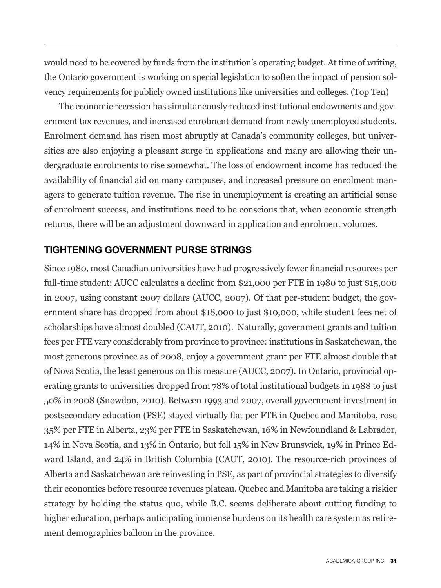would need to be covered by funds from the institution's operating budget. At time of writing, the Ontario government is working on special legislation to soften the impact of pension solvency requirements for publicly owned institutions like universities and colleges. (Top Ten)

The economic recession has simultaneously reduced institutional endowments and government tax revenues, and increased enrolment demand from newly unemployed students. Enrolment demand has risen most abruptly at Canada's community colleges, but universities are also enjoying a pleasant surge in applications and many are allowing their undergraduate enrolments to rise somewhat. The loss of endowment income has reduced the availability of financial aid on many campuses, and increased pressure on enrolment managers to generate tuition revenue. The rise in unemployment is creating an artificial sense of enrolment success, and institutions need to be conscious that, when economic strength returns, there will be an adjustment downward in application and enrolment volumes.

## *TIGHTENING GOVERNMENT PURSE STRINGS*

Since 1980, most Canadian universities have had progressively fewer financial resources per full-time student: AUCC calculates a decline from \$21,000 per FTE in 1980 to just \$15,000 in 2007, using constant 2007 dollars (AUCC, 2007). Of that per-student budget, the government share has dropped from about \$18,000 to just \$10,000, while student fees net of scholarships have almost doubled (CAUT, 2010). Naturally, government grants and tuition fees per FTE vary considerably from province to province: institutions in Saskatchewan, the most generous province as of 2008, enjoy a government grant per FTE almost double that of Nova Scotia, the least generous on this measure (AUCC, 2007). In Ontario, provincial operating grants to universities dropped from 78% of total institutional budgets in 1988 to just 50% in 2008 (Snowdon, 2010). Between 1993 and 2007, overall government investment in postsecondary education (PSE) stayed virtually flat per FTE in Quebec and Manitoba, rose 35% per FTE in Alberta, 23% per FTE in Saskatchewan, 16% in Newfoundland & Labrador, 14% in Nova Scotia, and 13% in Ontario, but fell 15% in New Brunswick, 19% in Prince Edward Island, and 24% in British Columbia (CAUT, 2010). The resource-rich provinces of Alberta and Saskatchewan are reinvesting in PSE, as part of provincial strategies to diversify their economies before resource revenues plateau. Quebec and Manitoba are taking a riskier strategy by holding the status quo, while B.C. seems deliberate about cutting funding to higher education, perhaps anticipating immense burdens on its health care system as retirement demographics balloon in the province.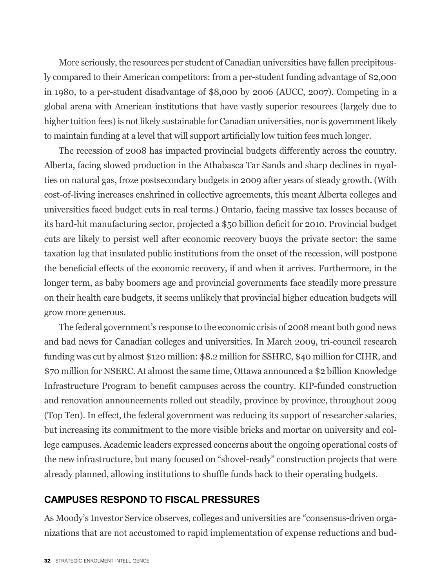More seriously, the resources per student of Canadian universities have fallen precipitously compared to their American competitors: from a per-student funding advantage of \$2,000 in 1980, to a per-student disadvantage of \$8,000 by 2006 (AUCC, 2007). Competing in a global arena with American institutions that have vastly superior resources (largely due to higher tuition fees) is not likely sustainable for Canadian universities, nor is government likely to maintain funding at a level that will support artificially low tuition fees much longer.

The recession of 2008 has impacted provincial budgets differently across the country. Alberta, facing slowed production in the Athabasca Tar Sands and sharp declines in royalties on natural gas, froze postsecondary budgets in 2009 after years of steady growth. (With cost-of-living increases enshrined in collective agreements, this meant Alberta colleges and universities faced budget cuts in real terms.) Ontario, facing massive tax losses because of its hard-hit manufacturing sector, projected a \$50 billion deficit for 2010. Provincial budget cuts are likely to persist well after economic recovery buoys the private sector: the same taxation lag that insulated public institutions from the onset of the recession, will postpone the beneficial effects of the economic recovery, if and when it arrives. Furthermore, in the longer term, as baby boomers age and provincial governments face steadily more pressure on their health care budgets, it seems unlikely that provincial higher education budgets will grow more generous.

The federal government's response to the economic crisis of 2008 meant both good news and bad news for Canadian colleges and universities. In March 2009, tri-council research funding was cut by almost \$120 million: \$8.2 million for SSHRC, \$40 million for CIHR, and \$70 million for NSERC. At almost the same time, Ottawa announced a \$2 billion Knowledge Infrastructure Program to benefit campuses across the country. KIP-funded construction and renovation announcements rolled out steadily, province by province, throughout 2009 (Top Ten). In effect, the federal government was reducing its support of researcher salaries, but increasing its commitment to the more visible bricks and mortar on university and college campuses. Academic leaders expressed concerns about the ongoing operational costs of the new infrastructure, but many focused on "shovel-ready" construction projects that were already planned, allowing institutions to shuffle funds back to their operating budgets.

# *CAMPUSES RESPOND TO FISCAL PRESSURES*

As Moody's Investor Service observes, colleges and universities are "consensus-driven organizations that are not accustomed to rapid implementation of expense reductions and bud-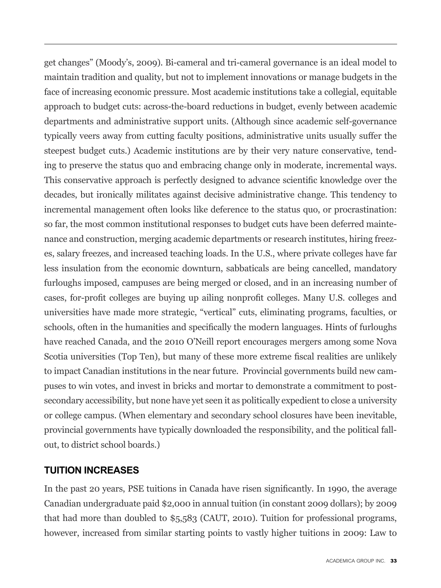get changes" (Moody's, 2009). Bi-cameral and tri-cameral governance is an ideal model to maintain tradition and quality, but not to implement innovations or manage budgets in the face of increasing economic pressure. Most academic institutions take a collegial, equitable approach to budget cuts: across-the-board reductions in budget, evenly between academic departments and administrative support units. (Although since academic self-governance typically veers away from cutting faculty positions, administrative units usually suffer the steepest budget cuts.) Academic institutions are by their very nature conservative, tending to preserve the status quo and embracing change only in moderate, incremental ways. This conservative approach is perfectly designed to advance scientific knowledge over the decades, but ironically militates against decisive administrative change. This tendency to incremental management often looks like deference to the status quo, or procrastination: so far, the most common institutional responses to budget cuts have been deferred maintenance and construction, merging academic departments or research institutes, hiring freezes, salary freezes, and increased teaching loads. In the U.S., where private colleges have far less insulation from the economic downturn, sabbaticals are being cancelled, mandatory furloughs imposed, campuses are being merged or closed, and in an increasing number of cases, for-profit colleges are buying up ailing nonprofit colleges. Many U.S. colleges and universities have made more strategic, "vertical" cuts, eliminating programs, faculties, or schools, often in the humanities and specifically the modern languages. Hints of furloughs have reached Canada, and the 2010 O'Neill report encourages mergers among some Nova Scotia universities (Top Ten), but many of these more extreme fiscal realities are unlikely to impact Canadian institutions in the near future. Provincial governments build new campuses to win votes, and invest in bricks and mortar to demonstrate a commitment to postsecondary accessibility, but none have yet seen it as politically expedient to close a university or college campus. (When elementary and secondary school closures have been inevitable, provincial governments have typically downloaded the responsibility, and the political fallout, to district school boards.)

# *TUITION INCREASES*

In the past 20 years, PSE tuitions in Canada have risen significantly. In 1990, the average Canadian undergraduate paid \$2,000 in annual tuition (in constant 2009 dollars); by 2009 that had more than doubled to \$5,583 (CAUT, 2010). Tuition for professional programs, however, increased from similar starting points to vastly higher tuitions in 2009: Law to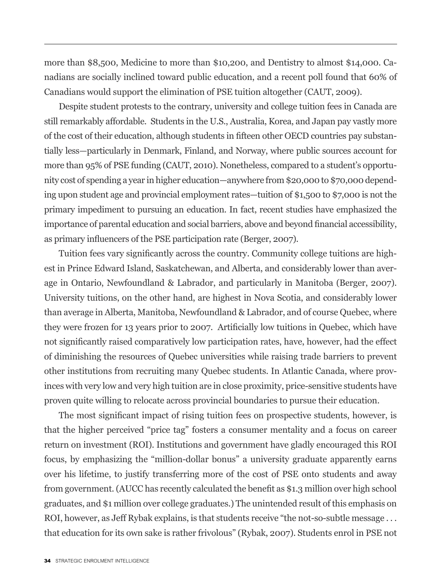more than \$8,500, Medicine to more than \$10,200, and Dentistry to almost \$14,000. Canadians are socially inclined toward public education, and a recent poll found that 60% of Canadians would support the elimination of PSE tuition altogether (CAUT, 2009).

Despite student protests to the contrary, university and college tuition fees in Canada are still remarkably affordable. Students in the U.S., Australia, Korea, and Japan pay vastly more of the cost of their education, although students in fifteen other OECD countries pay substantially less—particularly in Denmark, Finland, and Norway, where public sources account for more than 95% of PSE funding (CAUT, 2010). Nonetheless, compared to a student's opportunity cost of spending a year in higher education—anywhere from \$20,000 to \$70,000 depending upon student age and provincial employment rates—tuition of \$1,500 to \$7,000 is not the primary impediment to pursuing an education. In fact, recent studies have emphasized the importance of parental education and social barriers, above and beyond financial accessibility, as primary influencers of the PSE participation rate (Berger, 2007).

Tuition fees vary significantly across the country. Community college tuitions are highest in Prince Edward Island, Saskatchewan, and Alberta, and considerably lower than average in Ontario, Newfoundland & Labrador, and particularly in Manitoba (Berger, 2007). University tuitions, on the other hand, are highest in Nova Scotia, and considerably lower than average in Alberta, Manitoba, Newfoundland & Labrador, and of course Quebec, where they were frozen for 13 years prior to 2007. Artificially low tuitions in Quebec, which have not significantly raised comparatively low participation rates, have, however, had the effect of diminishing the resources of Quebec universities while raising trade barriers to prevent other institutions from recruiting many Quebec students. In Atlantic Canada, where provinces with very low and very high tuition are in close proximity, price-sensitive students have proven quite willing to relocate across provincial boundaries to pursue their education.

The most significant impact of rising tuition fees on prospective students, however, is that the higher perceived "price tag" fosters a consumer mentality and a focus on career return on investment (ROI). Institutions and government have gladly encouraged this ROI focus, by emphasizing the "million-dollar bonus" a university graduate apparently earns over his lifetime, to justify transferring more of the cost of PSE onto students and away from government. (AUCC has recently calculated the benefit as \$1.3 million over high school graduates, and \$1 million over college graduates.) The unintended result of this emphasis on ROI, however, as Jeff Rybak explains, is that students receive "the not-so-subtle message . . . that education for its own sake is rather frivolous" (Rybak, 2007). Students enrol in PSE not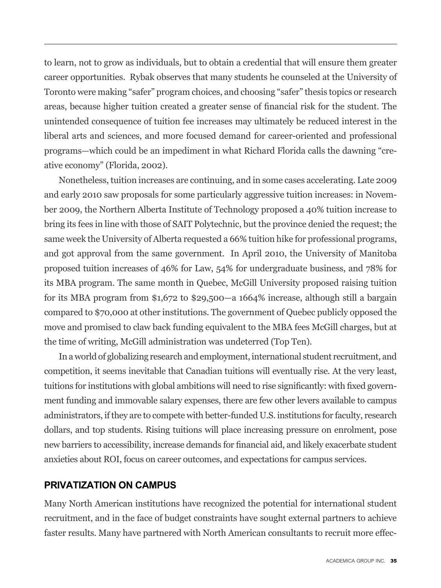to learn, not to grow as individuals, but to obtain a credential that will ensure them greater career opportunities. Rybak observes that many students he counseled at the University of Toronto were making "safer" program choices, and choosing "safer" thesis topics or research areas, because higher tuition created a greater sense of financial risk for the student. The unintended consequence of tuition fee increases may ultimately be reduced interest in the liberal arts and sciences, and more focused demand for career-oriented and professional programs—which could be an impediment in what Richard Florida calls the dawning "creative economy" (Florida, 2002).

Nonetheless, tuition increases are continuing, and in some cases accelerating. Late 2009 and early 2010 saw proposals for some particularly aggressive tuition increases: in November 2009, the Northern Alberta Institute of Technology proposed a 40% tuition increase to bring its fees in line with those of SAIT Polytechnic, but the province denied the request; the same week the University of Alberta requested a 66% tuition hike for professional programs, and got approval from the same government. In April 2010, the University of Manitoba proposed tuition increases of 46% for Law, 54% for undergraduate business, and 78% for its MBA program. The same month in Quebec, McGill University proposed raising tuition for its MBA program from \$1,672 to \$29,500—a 1664% increase, although still a bargain compared to \$70,000 at other institutions. The government of Quebec publicly opposed the move and promised to claw back funding equivalent to the MBA fees McGill charges, but at the time of writing, McGill administration was undeterred (Top Ten).

In a world of globalizing research and employment, international student recruitment, and competition, it seems inevitable that Canadian tuitions will eventually rise. At the very least, tuitions for institutions with global ambitions will need to rise significantly: with fixed government funding and immovable salary expenses, there are few other levers available to campus administrators, if they are to compete with better-funded U.S. institutions for faculty, research dollars, and top students. Rising tuitions will place increasing pressure on enrolment, pose new barriers to accessibility, increase demands for financial aid, and likely exacerbate student anxieties about ROI, focus on career outcomes, and expectations for campus services.

## *PRIVATIZATION ON CAMPUS*

Many North American institutions have recognized the potential for international student recruitment, and in the face of budget constraints have sought external partners to achieve faster results. Many have partnered with North American consultants to recruit more effec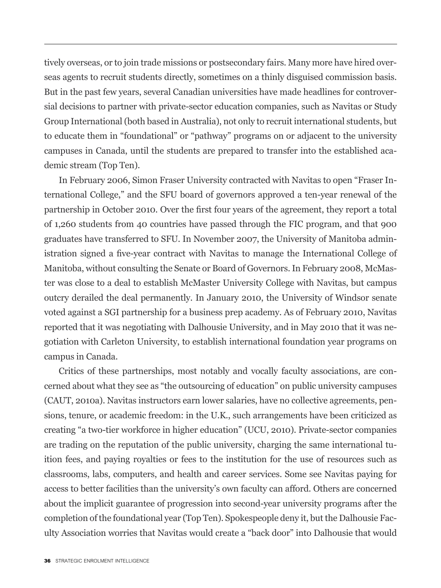tively overseas, or to join trade missions or postsecondary fairs. Many more have hired overseas agents to recruit students directly, sometimes on a thinly disguised commission basis. But in the past few years, several Canadian universities have made headlines for controversial decisions to partner with private-sector education companies, such as Navitas or Study Group International (both based in Australia), not only to recruit international students, but to educate them in "foundational" or "pathway" programs on or adjacent to the university campuses in Canada, until the students are prepared to transfer into the established academic stream (Top Ten).

In February 2006, Simon Fraser University contracted with Navitas to open "Fraser International College," and the SFU board of governors approved a ten-year renewal of the partnership in October 2010. Over the first four years of the agreement, they report a total of 1,260 students from 40 countries have passed through the FIC program, and that 900 graduates have transferred to SFU. In November 2007, the University of Manitoba administration signed a five-year contract with Navitas to manage the International College of Manitoba, without consulting the Senate or Board of Governors. In February 2008, McMaster was close to a deal to establish McMaster University College with Navitas, but campus outcry derailed the deal permanently. In January 2010, the University of Windsor senate voted against a SGI partnership for a business prep academy. As of February 2010, Navitas reported that it was negotiating with Dalhousie University, and in May 2010 that it was negotiation with Carleton University, to establish international foundation year programs on campus in Canada.

Critics of these partnerships, most notably and vocally faculty associations, are concerned about what they see as "the outsourcing of education" on public university campuses (CAUT, 2010a). Navitas instructors earn lower salaries, have no collective agreements, pensions, tenure, or academic freedom: in the U.K., such arrangements have been criticized as creating "a two-tier workforce in higher education" (UCU, 2010). Private-sector companies are trading on the reputation of the public university, charging the same international tuition fees, and paying royalties or fees to the institution for the use of resources such as classrooms, labs, computers, and health and career services. Some see Navitas paying for access to better facilities than the university's own faculty can afford. Others are concerned about the implicit guarantee of progression into second-year university programs after the completion of the foundational year (Top Ten). Spokespeople deny it, but the Dalhousie Faculty Association worries that Navitas would create a "back door" into Dalhousie that would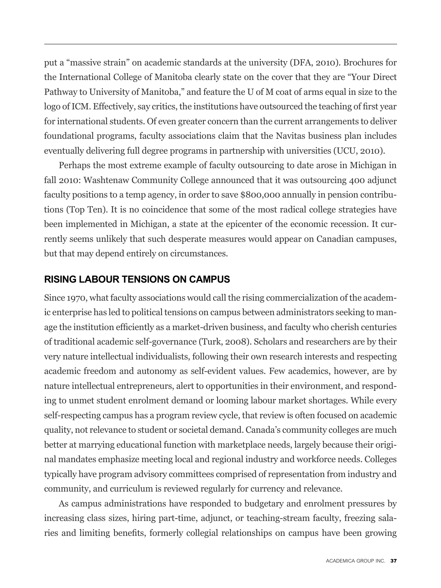put a "massive strain" on academic standards at the university (DFA, 2010). Brochures for the International College of Manitoba clearly state on the cover that they are "Your Direct Pathway to University of Manitoba," and feature the U of M coat of arms equal in size to the logo of ICM. Effectively, say critics, the institutions have outsourced the teaching of first year for international students. Of even greater concern than the current arrangements to deliver foundational programs, faculty associations claim that the Navitas business plan includes eventually delivering full degree programs in partnership with universities (UCU, 2010).

Perhaps the most extreme example of faculty outsourcing to date arose in Michigan in fall 2010: Washtenaw Community College announced that it was outsourcing 400 adjunct faculty positions to a temp agency, in order to save \$800,000 annually in pension contributions (Top Ten). It is no coincidence that some of the most radical college strategies have been implemented in Michigan, a state at the epicenter of the economic recession. It currently seems unlikely that such desperate measures would appear on Canadian campuses, but that may depend entirely on circumstances.

## *RISING LABOUR TENSIONS ON CAMPUS*

Since 1970, what faculty associations would call the rising commercialization of the academic enterprise has led to political tensions on campus between administrators seeking to manage the institution efficiently as a market-driven business, and faculty who cherish centuries of traditional academic self-governance (Turk, 2008). Scholars and researchers are by their very nature intellectual individualists, following their own research interests and respecting academic freedom and autonomy as self-evident values. Few academics, however, are by nature intellectual entrepreneurs, alert to opportunities in their environment, and responding to unmet student enrolment demand or looming labour market shortages. While every self-respecting campus has a program review cycle, that review is often focused on academic quality, not relevance to student or societal demand. Canada's community colleges are much better at marrying educational function with marketplace needs, largely because their original mandates emphasize meeting local and regional industry and workforce needs. Colleges typically have program advisory committees comprised of representation from industry and community, and curriculum is reviewed regularly for currency and relevance.

As campus administrations have responded to budgetary and enrolment pressures by increasing class sizes, hiring part-time, adjunct, or teaching-stream faculty, freezing salaries and limiting benefits, formerly collegial relationships on campus have been growing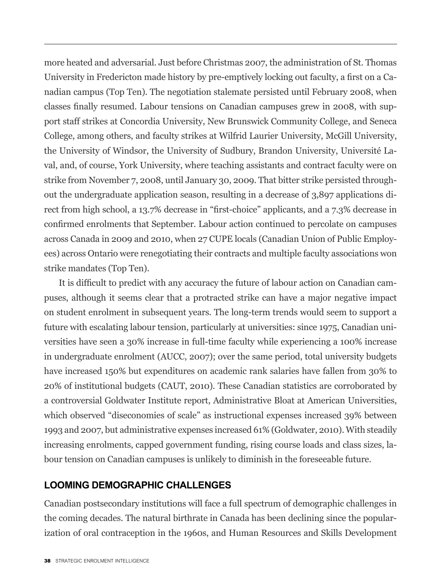more heated and adversarial. Just before Christmas 2007, the administration of St. Thomas University in Fredericton made history by pre-emptively locking out faculty, a first on a Canadian campus (Top Ten). The negotiation stalemate persisted until February 2008, when classes finally resumed. Labour tensions on Canadian campuses grew in 2008, with support staff strikes at Concordia University, New Brunswick Community College, and Seneca College, among others, and faculty strikes at Wilfrid Laurier University, McGill University, the University of Windsor, the University of Sudbury, Brandon University, Université Laval, and, of course, York University, where teaching assistants and contract faculty were on strike from November 7, 2008, until January 30, 2009. That bitter strike persisted throughout the undergraduate application season, resulting in a decrease of 3,897 applications direct from high school, a 13.7% decrease in "first-choice" applicants, and a 7.3% decrease in confirmed enrolments that September. Labour action continued to percolate on campuses across Canada in 2009 and 2010, when 27 CUPE locals (Canadian Union of Public Employees) across Ontario were renegotiating their contracts and multiple faculty associations won strike mandates (Top Ten).

It is difficult to predict with any accuracy the future of labour action on Canadian campuses, although it seems clear that a protracted strike can have a major negative impact on student enrolment in subsequent years. The long-term trends would seem to support a future with escalating labour tension, particularly at universities: since 1975, Canadian universities have seen a 30% increase in full-time faculty while experiencing a 100% increase in undergraduate enrolment (AUCC, 2007); over the same period, total university budgets have increased 150% but expenditures on academic rank salaries have fallen from 30% to 20% of institutional budgets (CAUT, 2010). These Canadian statistics are corroborated by a controversial Goldwater Institute report, Administrative Bloat at American Universities, which observed "diseconomies of scale" as instructional expenses increased 39% between 1993 and 2007, but administrative expenses increased 61% (Goldwater, 2010). With steadily increasing enrolments, capped government funding, rising course loads and class sizes, labour tension on Canadian campuses is unlikely to diminish in the foreseeable future.

# *LOOMING DEMOGRAPHIC CHALLENGES*

Canadian postsecondary institutions will face a full spectrum of demographic challenges in the coming decades. The natural birthrate in Canada has been declining since the popularization of oral contraception in the 1960s, and Human Resources and Skills Development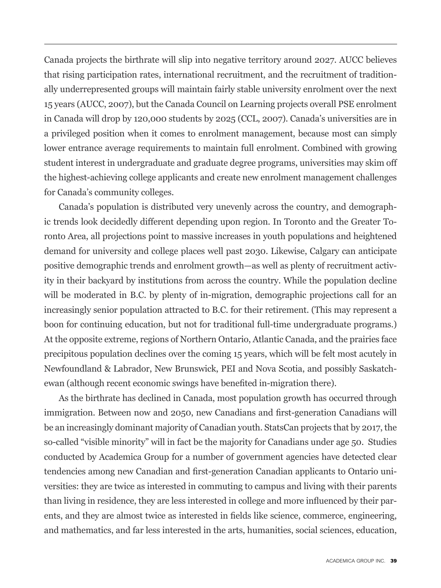Canada projects the birthrate will slip into negative territory around 2027. AUCC believes that rising participation rates, international recruitment, and the recruitment of traditionally underrepresented groups will maintain fairly stable university enrolment over the next 15 years (AUCC, 2007), but the Canada Council on Learning projects overall PSE enrolment in Canada will drop by 120,000 students by 2025 (CCL, 2007). Canada's universities are in a privileged position when it comes to enrolment management, because most can simply lower entrance average requirements to maintain full enrolment. Combined with growing student interest in undergraduate and graduate degree programs, universities may skim off the highest-achieving college applicants and create new enrolment management challenges for Canada's community colleges.

Canada's population is distributed very unevenly across the country, and demographic trends look decidedly different depending upon region. In Toronto and the Greater Toronto Area, all projections point to massive increases in youth populations and heightened demand for university and college places well past 2030. Likewise, Calgary can anticipate positive demographic trends and enrolment growth—as well as plenty of recruitment activity in their backyard by institutions from across the country. While the population decline will be moderated in B.C. by plenty of in-migration, demographic projections call for an increasingly senior population attracted to B.C. for their retirement. (This may represent a boon for continuing education, but not for traditional full-time undergraduate programs.) At the opposite extreme, regions of Northern Ontario, Atlantic Canada, and the prairies face precipitous population declines over the coming 15 years, which will be felt most acutely in Newfoundland & Labrador, New Brunswick, PEI and Nova Scotia, and possibly Saskatchewan (although recent economic swings have benefited in-migration there).

As the birthrate has declined in Canada, most population growth has occurred through immigration. Between now and 2050, new Canadians and first-generation Canadians will be an increasingly dominant majority of Canadian youth. StatsCan projects that by 2017, the so-called "visible minority" will in fact be the majority for Canadians under age 50. Studies conducted by Academica Group for a number of government agencies have detected clear tendencies among new Canadian and first-generation Canadian applicants to Ontario universities: they are twice as interested in commuting to campus and living with their parents than living in residence, they are less interested in college and more influenced by their parents, and they are almost twice as interested in fields like science, commerce, engineering, and mathematics, and far less interested in the arts, humanities, social sciences, education,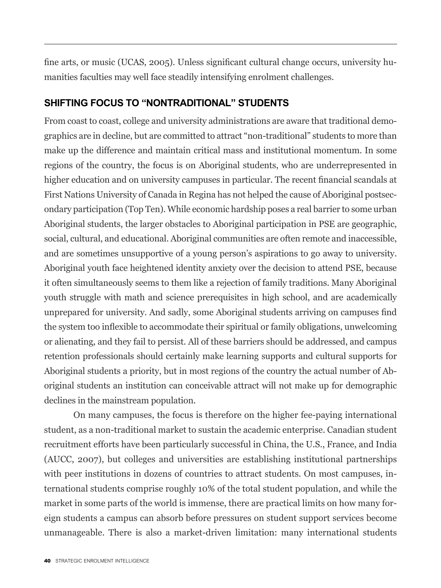fine arts, or music (UCAS, 2005). Unless significant cultural change occurs, university humanities faculties may well face steadily intensifying enrolment challenges.

# *SHIFTING FOCUS TO "NONTRADITIONAL" STUDENTS*

From coast to coast, college and university administrations are aware that traditional demographics are in decline, but are committed to attract "non-traditional" students to more than make up the difference and maintain critical mass and institutional momentum. In some regions of the country, the focus is on Aboriginal students, who are underrepresented in higher education and on university campuses in particular. The recent financial scandals at First Nations University of Canada in Regina has not helped the cause of Aboriginal postsecondary participation (Top Ten). While economic hardship poses a real barrier to some urban Aboriginal students, the larger obstacles to Aboriginal participation in PSE are geographic, social, cultural, and educational. Aboriginal communities are often remote and inaccessible, and are sometimes unsupportive of a young person's aspirations to go away to university. Aboriginal youth face heightened identity anxiety over the decision to attend PSE, because it often simultaneously seems to them like a rejection of family traditions. Many Aboriginal youth struggle with math and science prerequisites in high school, and are academically unprepared for university. And sadly, some Aboriginal students arriving on campuses find the system too inflexible to accommodate their spiritual or family obligations, unwelcoming or alienating, and they fail to persist. All of these barriers should be addressed, and campus retention professionals should certainly make learning supports and cultural supports for Aboriginal students a priority, but in most regions of the country the actual number of Aboriginal students an institution can conceivable attract will not make up for demographic declines in the mainstream population.

On many campuses, the focus is therefore on the higher fee-paying international student, as a non-traditional market to sustain the academic enterprise. Canadian student recruitment efforts have been particularly successful in China, the U.S., France, and India (AUCC, 2007), but colleges and universities are establishing institutional partnerships with peer institutions in dozens of countries to attract students. On most campuses, international students comprise roughly 10% of the total student population, and while the market in some parts of the world is immense, there are practical limits on how many foreign students a campus can absorb before pressures on student support services become unmanageable. There is also a market-driven limitation: many international students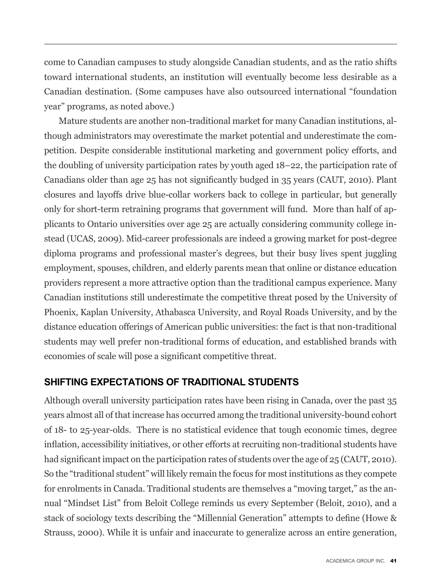come to Canadian campuses to study alongside Canadian students, and as the ratio shifts toward international students, an institution will eventually become less desirable as a Canadian destination. (Some campuses have also outsourced international "foundation year" programs, as noted above.)

Mature students are another non-traditional market for many Canadian institutions, although administrators may overestimate the market potential and underestimate the competition. Despite considerable institutional marketing and government policy efforts, and the doubling of university participation rates by youth aged 18–22, the participation rate of Canadians older than age 25 has not significantly budged in 35 years (CAUT, 2010). Plant closures and layoffs drive blue-collar workers back to college in particular, but generally only for short-term retraining programs that government will fund. More than half of applicants to Ontario universities over age 25 are actually considering community college instead (UCAS, 2009). Mid-career professionals are indeed a growing market for post-degree diploma programs and professional master's degrees, but their busy lives spent juggling employment, spouses, children, and elderly parents mean that online or distance education providers represent a more attractive option than the traditional campus experience. Many Canadian institutions still underestimate the competitive threat posed by the University of Phoenix, Kaplan University, Athabasca University, and Royal Roads University, and by the distance education offerings of American public universities: the fact is that non-traditional students may well prefer non-traditional forms of education, and established brands with economies of scale will pose a significant competitive threat.

# *SHIFTING EXPECTATIONS OF TRADITIONAL STUDENTS*

Although overall university participation rates have been rising in Canada, over the past 35 years almost all of that increase has occurred among the traditional university-bound cohort of 18- to 25-year-olds. There is no statistical evidence that tough economic times, degree inflation, accessibility initiatives, or other efforts at recruiting non-traditional students have had significant impact on the participation rates of students over the age of 25 (CAUT, 2010). So the "traditional student" will likely remain the focus for most institutions as they compete for enrolments in Canada. Traditional students are themselves a "moving target," as the annual "Mindset List" from Beloit College reminds us every September (Beloit, 2010), and a stack of sociology texts describing the "Millennial Generation" attempts to define (Howe & Strauss, 2000). While it is unfair and inaccurate to generalize across an entire generation,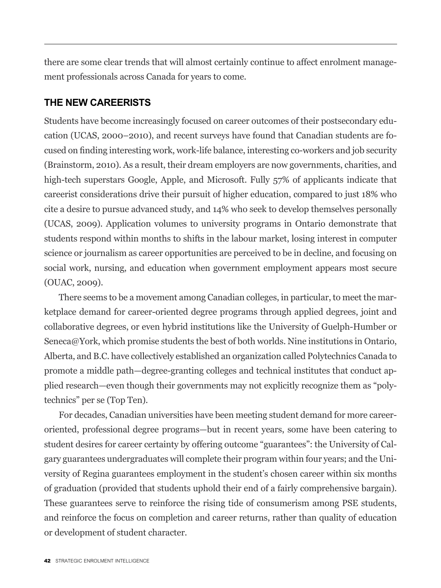there are some clear trends that will almost certainly continue to affect enrolment management professionals across Canada for years to come.

### *THE NEW CAREERISTS*

Students have become increasingly focused on career outcomes of their postsecondary education (UCAS, 2000–2010), and recent surveys have found that Canadian students are focused on finding interesting work, work-life balance, interesting co-workers and job security (Brainstorm, 2010). As a result, their dream employers are now governments, charities, and high-tech superstars Google, Apple, and Microsoft. Fully 57% of applicants indicate that careerist considerations drive their pursuit of higher education, compared to just 18% who cite a desire to pursue advanced study, and 14% who seek to develop themselves personally (UCAS, 2009). Application volumes to university programs in Ontario demonstrate that students respond within months to shifts in the labour market, losing interest in computer science or journalism as career opportunities are perceived to be in decline, and focusing on social work, nursing, and education when government employment appears most secure (OUAC, 2009).

There seems to be a movement among Canadian colleges, in particular, to meet the marketplace demand for career-oriented degree programs through applied degrees, joint and collaborative degrees, or even hybrid institutions like the University of Guelph-Humber or Seneca@York, which promise students the best of both worlds. Nine institutions in Ontario, Alberta, and B.C. have collectively established an organization called Polytechnics Canada to promote a middle path—degree-granting colleges and technical institutes that conduct applied research—even though their governments may not explicitly recognize them as "polytechnics" per se (Top Ten).

For decades, Canadian universities have been meeting student demand for more careeroriented, professional degree programs—but in recent years, some have been catering to student desires for career certainty by offering outcome "guarantees": the University of Calgary guarantees undergraduates will complete their program within four years; and the University of Regina guarantees employment in the student's chosen career within six months of graduation (provided that students uphold their end of a fairly comprehensive bargain). These guarantees serve to reinforce the rising tide of consumerism among PSE students, and reinforce the focus on completion and career returns, rather than quality of education or development of student character.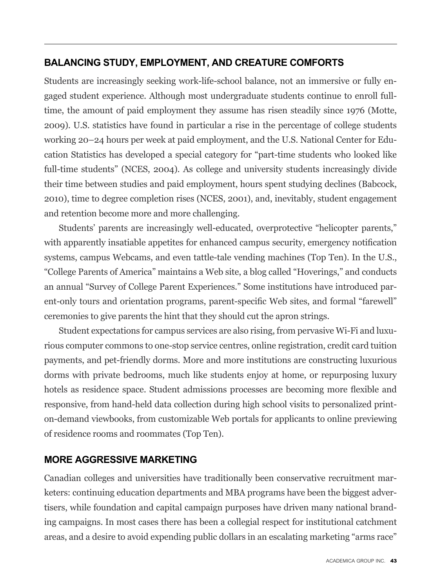# *BALANCING STUDY, EMPLOYMENT, AND CREATURE COMFORTS*

Students are increasingly seeking work-life-school balance, not an immersive or fully engaged student experience. Although most undergraduate students continue to enroll fulltime, the amount of paid employment they assume has risen steadily since 1976 (Motte, 2009). U.S. statistics have found in particular a rise in the percentage of college students working 20–24 hours per week at paid employment, and the U.S. National Center for Education Statistics has developed a special category for "part-time students who looked like full-time students" (NCES, 2004). As college and university students increasingly divide their time between studies and paid employment, hours spent studying declines (Babcock, 2010), time to degree completion rises (NCES, 2001), and, inevitably, student engagement and retention become more and more challenging.

Students' parents are increasingly well-educated, overprotective "helicopter parents," with apparently insatiable appetites for enhanced campus security, emergency notification systems, campus Webcams, and even tattle-tale vending machines (Top Ten). In the U.S., "College Parents of America" maintains a Web site, a blog called "Hoverings," and conducts an annual "Survey of College Parent Experiences." Some institutions have introduced parent-only tours and orientation programs, parent-specific Web sites, and formal "farewell" ceremonies to give parents the hint that they should cut the apron strings.

Student expectations for campus services are also rising, from pervasive Wi-Fi and luxurious computer commons to one-stop service centres, online registration, credit card tuition payments, and pet-friendly dorms. More and more institutions are constructing luxurious dorms with private bedrooms, much like students enjoy at home, or repurposing luxury hotels as residence space. Student admissions processes are becoming more flexible and responsive, from hand-held data collection during high school visits to personalized printon-demand viewbooks, from customizable Web portals for applicants to online previewing of residence rooms and roommates (Top Ten).

# *MORE AGGRESSIVE MARKETING*

Canadian colleges and universities have traditionally been conservative recruitment marketers: continuing education departments and MBA programs have been the biggest advertisers, while foundation and capital campaign purposes have driven many national branding campaigns. In most cases there has been a collegial respect for institutional catchment areas, and a desire to avoid expending public dollars in an escalating marketing "arms race"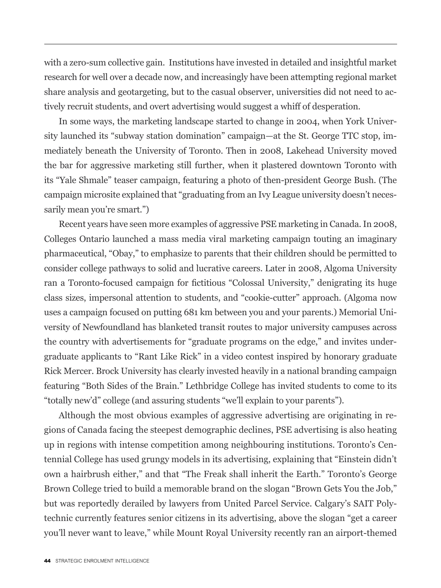with a zero-sum collective gain. Institutions have invested in detailed and insightful market research for well over a decade now, and increasingly have been attempting regional market share analysis and geotargeting, but to the casual observer, universities did not need to actively recruit students, and overt advertising would suggest a whiff of desperation.

In some ways, the marketing landscape started to change in 2004, when York University launched its "subway station domination" campaign—at the St. George TTC stop, immediately beneath the University of Toronto. Then in 2008, Lakehead University moved the bar for aggressive marketing still further, when it plastered downtown Toronto with its "Yale Shmale" teaser campaign, featuring a photo of then-president George Bush. (The campaign microsite explained that "graduating from an Ivy League university doesn't necessarily mean you're smart.")

Recent years have seen more examples of aggressive PSE marketing in Canada. In 2008, Colleges Ontario launched a mass media viral marketing campaign touting an imaginary pharmaceutical, "Obay," to emphasize to parents that their children should be permitted to consider college pathways to solid and lucrative careers. Later in 2008, Algoma University ran a Toronto-focused campaign for fictitious "Colossal University," denigrating its huge class sizes, impersonal attention to students, and "cookie-cutter" approach. (Algoma now uses a campaign focused on putting 681 km between you and your parents.) Memorial University of Newfoundland has blanketed transit routes to major university campuses across the country with advertisements for "graduate programs on the edge," and invites undergraduate applicants to "Rant Like Rick" in a video contest inspired by honorary graduate Rick Mercer. Brock University has clearly invested heavily in a national branding campaign featuring "Both Sides of the Brain." Lethbridge College has invited students to come to its "totally new'd" college (and assuring students "we'll explain to your parents").

Although the most obvious examples of aggressive advertising are originating in regions of Canada facing the steepest demographic declines, PSE advertising is also heating up in regions with intense competition among neighbouring institutions. Toronto's Centennial College has used grungy models in its advertising, explaining that "Einstein didn't own a hairbrush either," and that "The Freak shall inherit the Earth." Toronto's George Brown College tried to build a memorable brand on the slogan "Brown Gets You the Job," but was reportedly derailed by lawyers from United Parcel Service. Calgary's SAIT Polytechnic currently features senior citizens in its advertising, above the slogan "get a career you'll never want to leave," while Mount Royal University recently ran an airport-themed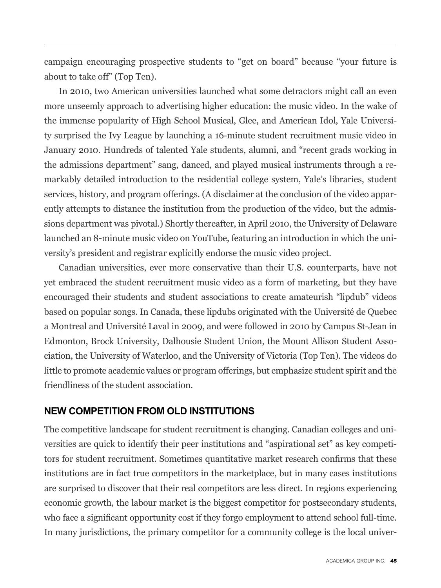campaign encouraging prospective students to "get on board" because "your future is about to take off" (Top Ten).

In 2010, two American universities launched what some detractors might call an even more unseemly approach to advertising higher education: the music video. In the wake of the immense popularity of High School Musical, Glee, and American Idol, Yale University surprised the Ivy League by launching a 16-minute student recruitment music video in January 2010. Hundreds of talented Yale students, alumni, and "recent grads working in the admissions department" sang, danced, and played musical instruments through a remarkably detailed introduction to the residential college system, Yale's libraries, student services, history, and program offerings. (A disclaimer at the conclusion of the video apparently attempts to distance the institution from the production of the video, but the admissions department was pivotal.) Shortly thereafter, in April 2010, the University of Delaware launched an 8-minute music video on YouTube, featuring an introduction in which the university's president and registrar explicitly endorse the music video project.

Canadian universities, ever more conservative than their U.S. counterparts, have not yet embraced the student recruitment music video as a form of marketing, but they have encouraged their students and student associations to create amateurish "lipdub" videos based on popular songs. In Canada, these lipdubs originated with the Université de Quebec a Montreal and Université Laval in 2009, and were followed in 2010 by Campus St-Jean in Edmonton, Brock University, Dalhousie Student Union, the Mount Allison Student Association, the University of Waterloo, and the University of Victoria (Top Ten). The videos do little to promote academic values or program offerings, but emphasize student spirit and the friendliness of the student association.

## *NEW COMPETITION FROM OLD INSTITUTIONS*

The competitive landscape for student recruitment is changing. Canadian colleges and universities are quick to identify their peer institutions and "aspirational set" as key competitors for student recruitment. Sometimes quantitative market research confirms that these institutions are in fact true competitors in the marketplace, but in many cases institutions are surprised to discover that their real competitors are less direct. In regions experiencing economic growth, the labour market is the biggest competitor for postsecondary students, who face a significant opportunity cost if they forgo employment to attend school full-time. In many jurisdictions, the primary competitor for a community college is the local univer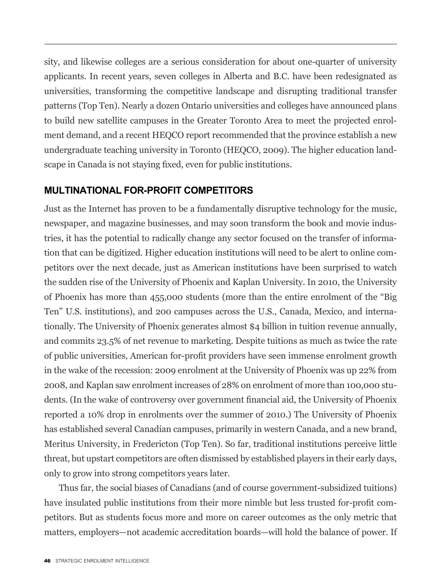sity, and likewise colleges are a serious consideration for about one-quarter of university applicants. In recent years, seven colleges in Alberta and B.C. have been redesignated as universities, transforming the competitive landscape and disrupting traditional transfer patterns (Top Ten). Nearly a dozen Ontario universities and colleges have announced plans to build new satellite campuses in the Greater Toronto Area to meet the projected enrolment demand, and a recent HEQCO report recommended that the province establish a new undergraduate teaching university in Toronto (HEQCO, 2009). The higher education landscape in Canada is not staying fixed, even for public institutions.

## *MULTINATIONAL FOR-PROFIT COMPETITORS*

Just as the Internet has proven to be a fundamentally disruptive technology for the music, newspaper, and magazine businesses, and may soon transform the book and movie industries, it has the potential to radically change any sector focused on the transfer of information that can be digitized. Higher education institutions will need to be alert to online competitors over the next decade, just as American institutions have been surprised to watch the sudden rise of the University of Phoenix and Kaplan University. In 2010, the University of Phoenix has more than 455,000 students (more than the entire enrolment of the "Big Ten" U.S. institutions), and 200 campuses across the U.S., Canada, Mexico, and internationally. The University of Phoenix generates almost \$4 billion in tuition revenue annually, and commits 23.5% of net revenue to marketing. Despite tuitions as much as twice the rate of public universities, American for-profit providers have seen immense enrolment growth in the wake of the recession: 2009 enrolment at the University of Phoenix was up 22% from 2008, and Kaplan saw enrolment increases of 28% on enrolment of more than 100,000 students. (In the wake of controversy over government financial aid, the University of Phoenix reported a 10% drop in enrolments over the summer of 2010.) The University of Phoenix has established several Canadian campuses, primarily in western Canada, and a new brand, Meritus University, in Fredericton (Top Ten). So far, traditional institutions perceive little threat, but upstart competitors are often dismissed by established players in their early days, only to grow into strong competitors years later.

Thus far, the social biases of Canadians (and of course government-subsidized tuitions) have insulated public institutions from their more nimble but less trusted for-profit competitors. But as students focus more and more on career outcomes as the only metric that matters, employers—not academic accreditation boards—will hold the balance of power. If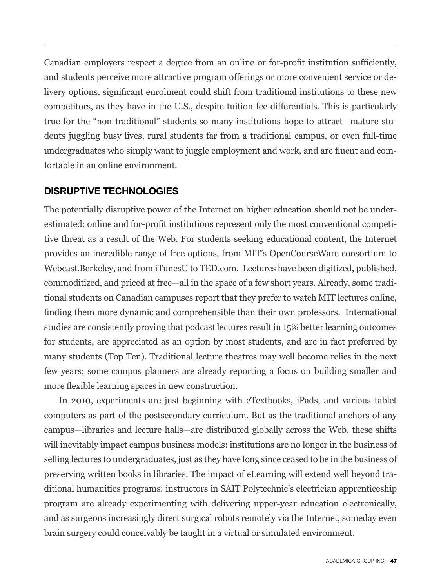Canadian employers respect a degree from an online or for-profit institution sufficiently, and students perceive more attractive program offerings or more convenient service or delivery options, significant enrolment could shift from traditional institutions to these new competitors, as they have in the U.S., despite tuition fee differentials. This is particularly true for the "non-traditional" students so many institutions hope to attract—mature students juggling busy lives, rural students far from a traditional campus, or even full-time undergraduates who simply want to juggle employment and work, and are fluent and comfortable in an online environment.

# *DISRUPTIVE TECHNOLOGIES*

The potentially disruptive power of the Internet on higher education should not be underestimated: online and for-profit institutions represent only the most conventional competitive threat as a result of the Web. For students seeking educational content, the Internet provides an incredible range of free options, from MIT's OpenCourseWare consortium to Webcast.Berkeley, and from iTunesU to TED.com. Lectures have been digitized, published, commoditized, and priced at free—all in the space of a few short years. Already, some traditional students on Canadian campuses report that they prefer to watch MIT lectures online, finding them more dynamic and comprehensible than their own professors. International studies are consistently proving that podcast lectures result in 15% better learning outcomes for students, are appreciated as an option by most students, and are in fact preferred by many students (Top Ten). Traditional lecture theatres may well become relics in the next few years; some campus planners are already reporting a focus on building smaller and more flexible learning spaces in new construction.

In 2010, experiments are just beginning with eTextbooks, iPads, and various tablet computers as part of the postsecondary curriculum. But as the traditional anchors of any campus—libraries and lecture halls—are distributed globally across the Web, these shifts will inevitably impact campus business models: institutions are no longer in the business of selling lectures to undergraduates, just as they have long since ceased to be in the business of preserving written books in libraries. The impact of eLearning will extend well beyond traditional humanities programs: instructors in SAIT Polytechnic's electrician apprenticeship program are already experimenting with delivering upper-year education electronically, and as surgeons increasingly direct surgical robots remotely via the Internet, someday even brain surgery could conceivably be taught in a virtual or simulated environment.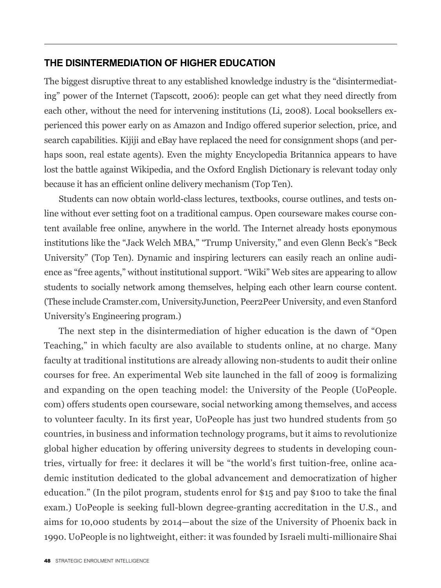#### *THE DISINTERMEDIATION OF HIGHER EDUCATION*

The biggest disruptive threat to any established knowledge industry is the "disintermediating" power of the Internet (Tapscott, 2006): people can get what they need directly from each other, without the need for intervening institutions (Li, 2008). Local booksellers experienced this power early on as Amazon and Indigo offered superior selection, price, and search capabilities. Kijiji and eBay have replaced the need for consignment shops (and perhaps soon, real estate agents). Even the mighty Encyclopedia Britannica appears to have lost the battle against Wikipedia, and the Oxford English Dictionary is relevant today only because it has an efficient online delivery mechanism (Top Ten).

Students can now obtain world-class lectures, textbooks, course outlines, and tests online without ever setting foot on a traditional campus. Open courseware makes course content available free online, anywhere in the world. The Internet already hosts eponymous institutions like the "Jack Welch MBA," "Trump University," and even Glenn Beck's "Beck University" (Top Ten). Dynamic and inspiring lecturers can easily reach an online audience as "free agents," without institutional support. "Wiki" Web sites are appearing to allow students to socially network among themselves, helping each other learn course content. (These include Cramster.com, UniversityJunction, Peer2Peer University, and even Stanford University's Engineering program.)

The next step in the disintermediation of higher education is the dawn of "Open Teaching," in which faculty are also available to students online, at no charge. Many faculty at traditional institutions are already allowing non-students to audit their online courses for free. An experimental Web site launched in the fall of 2009 is formalizing and expanding on the open teaching model: the University of the People (UoPeople. com) offers students open courseware, social networking among themselves, and access to volunteer faculty. In its first year, UoPeople has just two hundred students from 50 countries, in business and information technology programs, but it aims to revolutionize global higher education by offering university degrees to students in developing countries, virtually for free: it declares it will be "the world's first tuition-free, online academic institution dedicated to the global advancement and democratization of higher education." (In the pilot program, students enrol for \$15 and pay \$100 to take the final exam.) UoPeople is seeking full-blown degree-granting accreditation in the U.S., and aims for 10,000 students by 2014—about the size of the University of Phoenix back in 1990. UoPeople is no lightweight, either: it was founded by Israeli multi-millionaire Shai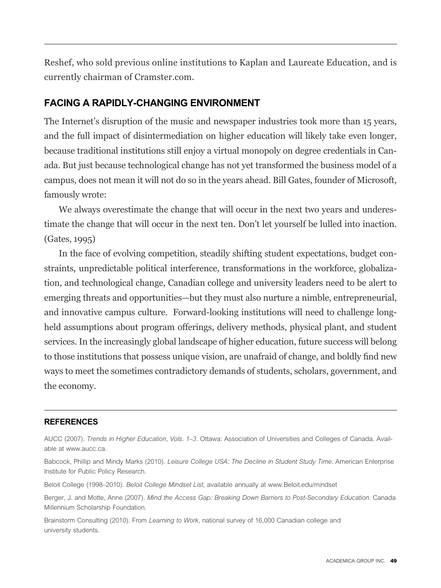Reshef, who sold previous online institutions to Kaplan and Laureate Education, and is currently chairman of Cramster.com.

## *FACING A RAPIDLY-CHANGING ENVIRONMENT*

The Internet's disruption of the music and newspaper industries took more than 15 years, and the full impact of disintermediation on higher education will likely take even longer, because traditional institutions still enjoy a virtual monopoly on degree credentials in Canada. But just because technological change has not yet transformed the business model of a campus, does not mean it will not do so in the years ahead. Bill Gates, founder of Microsoft, famously wrote:

We always overestimate the change that will occur in the next two years and underestimate the change that will occur in the next ten. Don't let yourself be lulled into inaction. (Gates, 1995)

In the face of evolving competition, steadily shifting student expectations, budget constraints, unpredictable political interference, transformations in the workforce, globalization, and technological change, Canadian college and university leaders need to be alert to emerging threats and opportunities—but they must also nurture a nimble, entrepreneurial, and innovative campus culture. Forward-looking institutions will need to challenge longheld assumptions about program offerings, delivery methods, physical plant, and student services. In the increasingly global landscape of higher education, future success will belong to those institutions that possess unique vision, are unafraid of change, and boldly find new ways to meet the sometimes contradictory demands of students, scholars, government, and the economy.

#### *REFERENCES*

*AUCC (2007). Trends in Higher Education, Vols. 1–3. Ottawa: Association of Universities and Colleges of Canada. Available at www.aucc.ca.* 

Babcock, Phillip and Mindy Marks (2010). *Leisure College USA: The Decline in Student Study Time.* American Enterprise *Institute for Public Policy Research.*

*Beloit College (1998–2010). Beloit College Mindset List, available annually at www.Beloit.edu/mindset* 

*Berger, J. and Motte, Anne (2007). Mind the Access Gap: Breaking Down Barriers to Post-Secondary Education. Canada Millennium Scholarship Foundation.*

*Brainstorm Consulting (2010). From Learning to Work, national survey of 16,000 Canadian college and university students.*